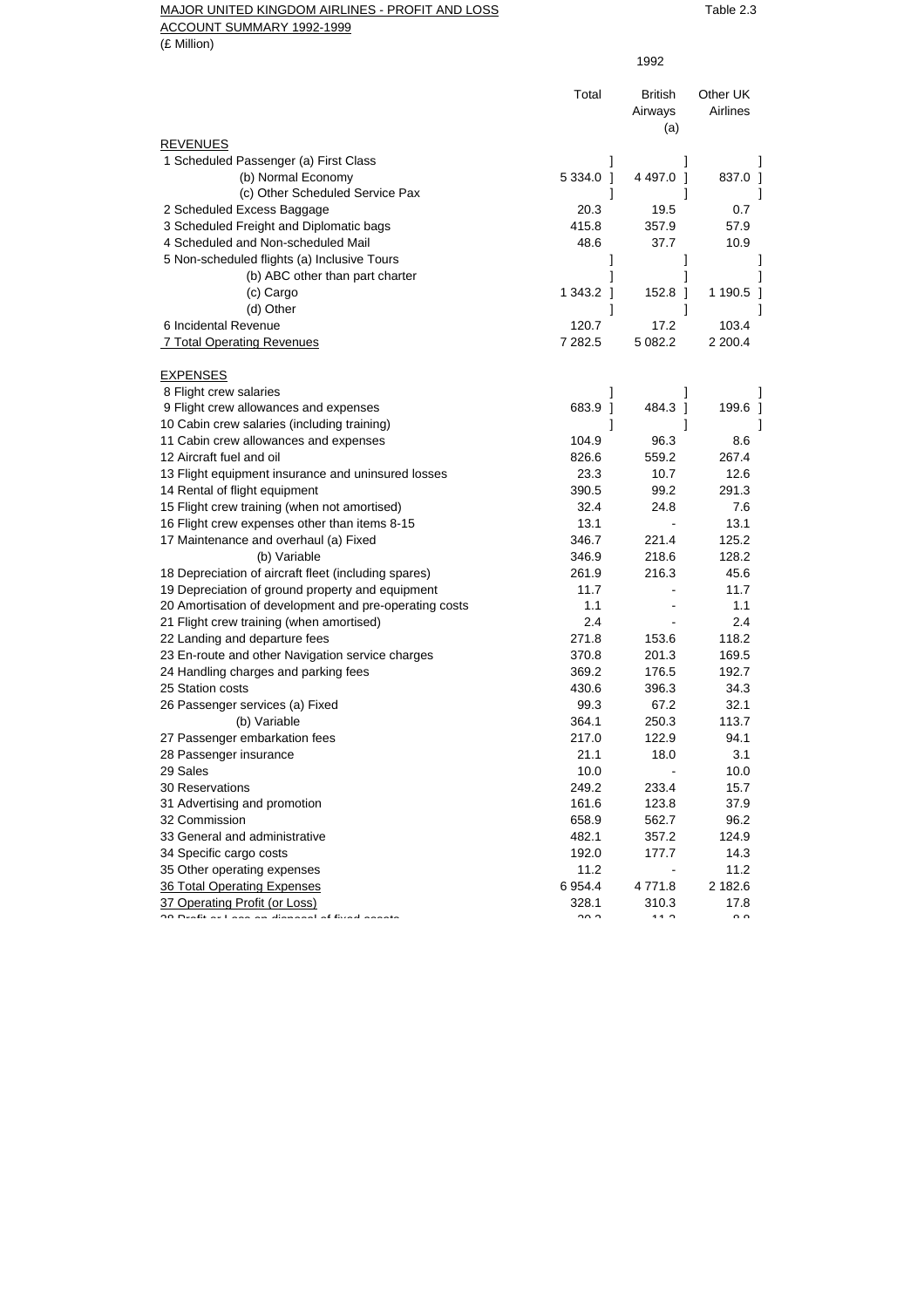## MAJOR UNITED KINGDOM AIRLINES - PROFIT AND LOSS TABLE 2.3 ACCOUNT SUMMARY 1992-1999

|                                                        | 1992                   |                                  |                       |
|--------------------------------------------------------|------------------------|----------------------------------|-----------------------|
|                                                        | Total                  | <b>British</b><br>Airways<br>(a) | Other UK<br>Airlines  |
| <b>REVENUES</b>                                        |                        |                                  |                       |
| 1 Scheduled Passenger (a) First Class                  |                        |                                  |                       |
| (b) Normal Economy                                     | 5 3 3 4 .0 1           | 4 497.0 1                        | 837.0 1               |
| (c) Other Scheduled Service Pax                        |                        |                                  |                       |
| 2 Scheduled Excess Baggage                             | 20.3                   | 19.5                             | 0.7                   |
| 3 Scheduled Freight and Diplomatic bags                | 415.8                  | 357.9                            | 57.9                  |
| 4 Scheduled and Non-scheduled Mail                     | 48.6                   | 37.7                             | 10.9                  |
| 5 Non-scheduled flights (a) Inclusive Tours            |                        | 1                                |                       |
| (b) ABC other than part charter                        |                        | 1                                |                       |
| (c) Cargo                                              | 1 343.2 1              | 152.8 ]                          | 1 190.5               |
| (d) Other                                              | 1                      | 1                                |                       |
| 6 Incidental Revenue                                   | 120.7                  | 17.2                             | 103.4                 |
| 7 Total Operating Revenues                             | 7 282.5                | 5 082.2                          | 2 200.4               |
| <b>EXPENSES</b>                                        |                        |                                  |                       |
| 8 Flight crew salaries                                 |                        | 1                                |                       |
| 9 Flight crew allowances and expenses                  | 683.9<br>-1            | 484.3 1                          | 199.6                 |
| 10 Cabin crew salaries (including training)            | 1                      | 1                                |                       |
| 11 Cabin crew allowances and expenses                  | 104.9                  | 96.3                             | 8.6                   |
| 12 Aircraft fuel and oil                               | 826.6                  | 559.2                            | 267.4                 |
| 13 Flight equipment insurance and uninsured losses     | 23.3                   | 10.7                             | 12.6                  |
| 14 Rental of flight equipment                          | 390.5                  | 99.2                             | 291.3                 |
| 15 Flight crew training (when not amortised)           | 32.4                   | 24.8                             | 7.6                   |
| 16 Flight crew expenses other than items 8-15          | 13.1                   |                                  | 13.1                  |
| 17 Maintenance and overhaul (a) Fixed                  | 346.7                  | 221.4                            | 125.2                 |
| (b) Variable                                           | 346.9                  | 218.6                            | 128.2                 |
| 18 Depreciation of aircraft fleet (including spares)   | 261.9                  | 216.3                            | 45.6                  |
| 19 Depreciation of ground property and equipment       | 11.7                   |                                  | 11.7                  |
| 20 Amortisation of development and pre-operating costs | 1.1                    |                                  | 1.1                   |
| 21 Flight crew training (when amortised)               | 2.4                    |                                  | 2.4                   |
| 22 Landing and departure fees                          | 271.8                  | 153.6                            | 118.2                 |
| 23 En-route and other Navigation service charges       | 370.8                  | 201.3                            | 169.5                 |
| 24 Handling charges and parking fees                   | 369.2                  | 176.5                            | 192.7                 |
| 25 Station costs                                       | 430.6                  | 396.3                            | 34.3                  |
| 26 Passenger services (a) Fixed                        | 99.3                   | 67.2                             | 32.1                  |
| (b) Variable                                           | 364.1                  | 250.3                            | 113.7                 |
| 27 Passenger embarkation fees                          | 217.0                  | 122.9                            | 94.1                  |
| 28 Passenger insurance                                 | 21.1                   | 18.0                             | 3.1                   |
| 29 Sales                                               | 10.0                   |                                  | 10.0                  |
| 30 Reservations                                        | 249.2                  | 233.4                            | 15.7                  |
| 31 Advertising and promotion                           | 161.6                  | 123.8                            | 37.9                  |
| 32 Commission                                          | 658.9                  | 562.7                            | 96.2                  |
| 33 General and administrative                          | 482.1                  | 357.2                            | 124.9                 |
| 34 Specific cargo costs                                | 192.0                  | 177.7                            | 14.3                  |
| 35 Other operating expenses                            | 11.2                   |                                  | 11.2                  |
| 36 Total Operating Expenses                            | 6 9 54.4               | 4771.8                           | 2 182.6               |
| 37 Operating Profit (or Loss)<br>المستنبئة فسالم       | 328.1<br>$\sim$ $\sim$ | 310.3<br>$\overline{11}$         | 17.8<br>$\sim$ $\sim$ |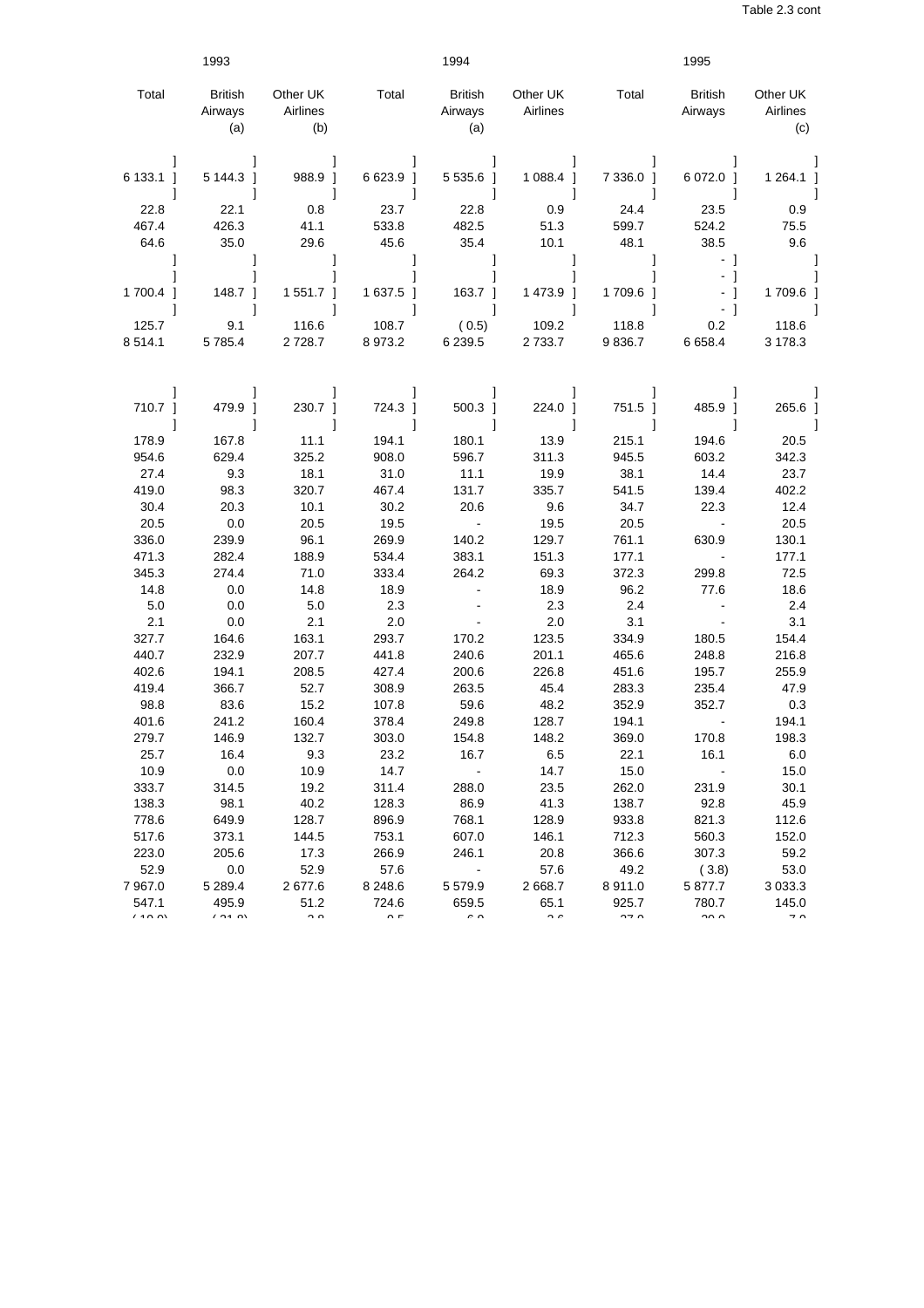|                | 1993                             |                             |                | 1994                             |                      |                  | 1995                      |                             |
|----------------|----------------------------------|-----------------------------|----------------|----------------------------------|----------------------|------------------|---------------------------|-----------------------------|
| Total          | <b>British</b><br>Airways<br>(a) | Other UK<br>Airlines<br>(b) | Total          | <b>British</b><br>Airways<br>(a) | Other UK<br>Airlines | Total            | <b>British</b><br>Airways | Other UK<br>Airlines<br>(c) |
| 6 133.1 1<br>1 | 5 144.3 1<br>1                   | 988.9 1<br>1                | 6 623.9 1<br>1 | 5 535.6 1<br>1                   | $1088.4$ ]<br>1      | 7 3 3 6.0 1<br>1 | 6 072.0 1<br>1            | 1 264.1 ]<br>-1             |
| 22.8           | 22.1                             | 0.8                         | 23.7           | 22.8                             | 0.9                  | 24.4             | 23.5                      | 0.9                         |
| 467.4          | 426.3                            | 41.1                        | 533.8          | 482.5                            | 51.3                 | 599.7            | 524.2                     | 75.5                        |
| 64.6           | 35.0                             | 29.6                        | 45.6           | 35.4                             | 10.1                 | 48.1             | 38.5                      | 9.6                         |
|                |                                  |                             | 1              |                                  |                      |                  | - 1<br>- 1                | 1                           |
| 1 700.4 1      | 148.7 1                          | 1 551.7 1                   | 1637.5 1       | 163.7 1                          | 1 473.9 1            | 1 709.6 1        | - 1                       | 1709.6 1                    |
|                |                                  |                             |                |                                  |                      |                  | - 1                       |                             |
| 125.7          | 9.1                              | 116.6                       | 108.7          | (0.5)                            | 109.2                | 118.8            | 0.2                       | 118.6                       |
| 8514.1         | 5 7 8 5.4                        | 2 7 28.7                    | 8973.2         | 6 2 3 9.5                        | 2733.7               | 9836.7           | 6658.4                    | 3 178.3                     |
|                |                                  |                             |                |                                  |                      |                  |                           |                             |
| 710.7 ]        | 479.9 ]                          | 230.7 1                     | 724.3 ]        | 500.3 ]                          | 224.0                | 751.5            | 485.9 1                   | 265.6                       |
| 1              |                                  | 1                           |                |                                  |                      | 1                |                           | -1                          |
| 178.9          | 167.8                            | 11.1                        | 194.1          | 180.1                            | 13.9                 | 215.1            | 194.6                     | 20.5                        |
| 954.6          | 629.4                            | 325.2                       | 908.0          | 596.7                            | 311.3                | 945.5            | 603.2                     | 342.3                       |
| 27.4           | 9.3                              | 18.1                        | 31.0           | 11.1                             | 19.9                 | 38.1             | 14.4                      | 23.7                        |
| 419.0          | 98.3                             | 320.7                       | 467.4          | 131.7                            | 335.7                | 541.5            | 139.4                     | 402.2                       |
| 30.4           | 20.3                             | 10.1                        | 30.2           | 20.6                             | 9.6                  | 34.7             | 22.3                      | 12.4                        |
| 20.5           | 0.0                              | 20.5                        | 19.5           | $\blacksquare$                   | 19.5                 | 20.5             | $\blacksquare$            | 20.5                        |
| 336.0          | 239.9                            | 96.1                        | 269.9          | 140.2                            | 129.7                | 761.1            | 630.9                     | 130.1                       |
| 471.3          | 282.4                            | 188.9                       | 534.4          | 383.1                            | 151.3                | 177.1            | $\blacksquare$            | 177.1                       |
| 345.3          | 274.4                            | 71.0                        | 333.4          | 264.2                            | 69.3                 | 372.3            | 299.8                     | 72.5                        |
| 14.8           | 0.0                              | 14.8                        | 18.9           |                                  | 18.9                 | 96.2             | 77.6                      | 18.6                        |
| 5.0            | 0.0                              | 5.0                         | 2.3            |                                  | 2.3                  | 2.4              |                           | 2.4                         |
| 2.1            | 0.0                              | 2.1                         | 2.0            |                                  | 2.0                  | 3.1              |                           | 3.1                         |
| 327.7          | 164.6                            | 163.1                       | 293.7          | 170.2                            | 123.5                | 334.9            | 180.5                     | 154.4                       |
| 440.7          | 232.9                            | 207.7                       | 441.8          | 240.6                            | 201.1                | 465.6            | 248.8                     | 216.8                       |
| 402.6          | 194.1                            | 208.5                       | 427.4          | 200.6                            | 226.8                | 451.6            | 195.7                     | 255.9                       |
| 419.4          | 366.7                            | 52.7                        | 308.9          | 263.5                            | 45.4                 | 283.3            | 235.4                     | 47.9                        |
| 98.8           | 83.6                             | 15.2                        | 107.8          | 59.6                             | 48.2                 | 352.9            | 352.7                     | 0.3                         |
| 401.6          | 241.2                            | 160.4                       | 378.4          | 249.8                            | 128.7                | 194.1            |                           | 194.1                       |
| 279.7          | 146.9                            | 132.7                       | 303.0          | 154.8                            | 148.2                | 369.0            | 170.8                     | 198.3                       |
| 25.7           | 16.4                             | 9.3                         | 23.2           | 16.7                             | 6.5                  | 22.1             | 16.1                      | 6.0                         |
| 10.9           | 0.0                              | 10.9                        | 14.7           | $\blacksquare$                   | 14.7                 | 15.0             |                           | 15.0                        |
| 333.7          | 314.5                            | 19.2                        | 311.4          | 288.0                            | 23.5                 | 262.0            | 231.9                     | 30.1                        |
| 138.3          | 98.1                             | 40.2                        | 128.3          | 86.9                             | 41.3                 | 138.7            | 92.8                      | 45.9                        |
| 778.6          | 649.9                            | 128.7                       | 896.9          | 768.1                            | 128.9                | 933.8            | 821.3                     | 112.6                       |
| 517.6          | 373.1                            | 144.5                       | 753.1          | 607.0                            | 146.1                | 712.3            | 560.3                     | 152.0                       |
| 223.0          | 205.6                            | 17.3                        | 266.9          | 246.1                            | 20.8                 | 366.6            | 307.3                     | 59.2                        |
| 52.9           | 0.0                              | 52.9                        | 57.6           |                                  | 57.6                 | 49.2             | (3.8)                     | 53.0                        |
| 7 967.0        | 5 2 8 9.4                        | 2677.6                      | 8 2 4 8 . 6    | 5579.9                           | 2668.7               | 8911.0           | 5 877.7                   | 3 0 3 3.3                   |
| 547.1          | 495.9                            | 51.2                        | 724.6          | 659.5                            | 65.1                 | 925.7            | 780.7                     | 145.0                       |
| $\sqrt{20}$    | (0,0)                            | $\sim$ $\sim$               | $\sim$ $\sim$  | $\sim$ $\sim$                    | $\sim$ $\sim$        | $\sim$ $\sim$    | $\sim$ $\sim$             | $\overline{\phantom{a}}$    |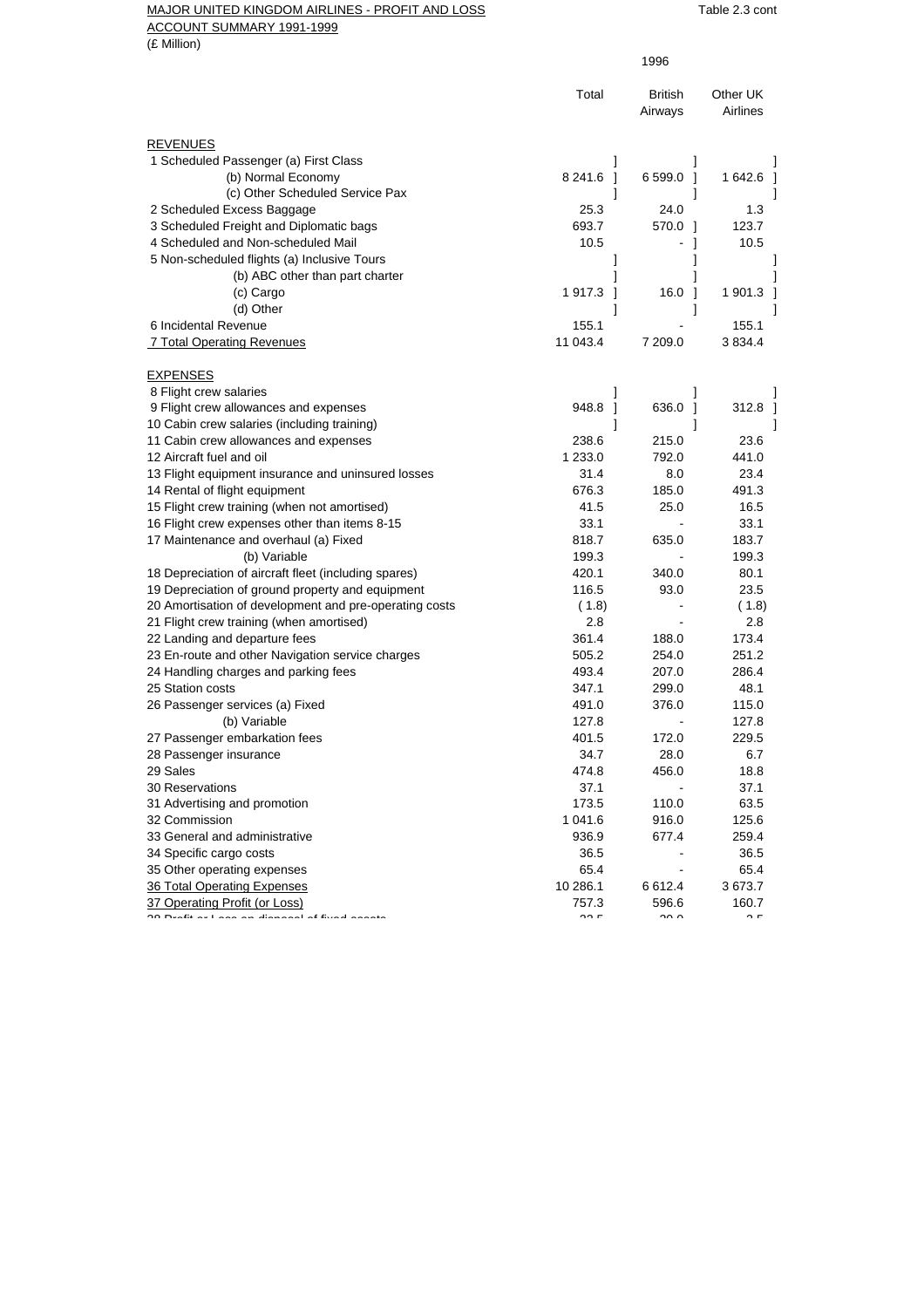## MAJOR UNITED KINGDOM AIRLINES - PROFIT AND LOSS TABLE 2.3 cont

ACCOUNT SUMMARY 1991-1999

(£ Million)

|                                                              |               | 1996                      |                      |
|--------------------------------------------------------------|---------------|---------------------------|----------------------|
|                                                              | Total         | <b>British</b><br>Airways | Other UK<br>Airlines |
| <b>REVENUES</b>                                              |               |                           |                      |
| 1 Scheduled Passenger (a) First Class                        | 1             | $\mathsf{l}$              |                      |
| (b) Normal Economy                                           | 8 241.6 1     | 6 599.0<br>- 1            | 1 642.6              |
| (c) Other Scheduled Service Pax                              | 1             |                           |                      |
| 2 Scheduled Excess Baggage                                   | 25.3          | 24.0                      | 1.3                  |
| 3 Scheduled Freight and Diplomatic bags                      | 693.7         | 570.0<br>- 1              | 123.7                |
| 4 Scheduled and Non-scheduled Mail                           | 10.5          | -1                        | 10.5                 |
| 5 Non-scheduled flights (a) Inclusive Tours                  |               | 1                         |                      |
| (b) ABC other than part charter                              |               |                           |                      |
| (c) Cargo                                                    | 1917.3<br>-1  | 16.0<br>$\mathbf{1}$      | 1 901.3              |
| (d) Other                                                    | 1             | 1                         |                      |
| 6 Incidental Revenue                                         | 155.1         |                           | 155.1                |
| 7 Total Operating Revenues                                   | 11 043.4      | 7 209.0                   | 3 8 3 4.4            |
| <b>EXPENSES</b>                                              |               |                           |                      |
| 8 Flight crew salaries                                       | 1             | 1                         |                      |
| 9 Flight crew allowances and expenses                        | 948.8<br>- 1  | 636.0 1                   | 312.8                |
| 10 Cabin crew salaries (including training)                  | 1             | 1                         |                      |
| 11 Cabin crew allowances and expenses                        | 238.6         | 215.0                     | 23.6                 |
| 12 Aircraft fuel and oil                                     | 1 233.0       | 792.0                     | 441.0                |
| 13 Flight equipment insurance and uninsured losses           | 31.4          | 8.0                       | 23.4                 |
| 14 Rental of flight equipment                                | 676.3         | 185.0                     | 491.3                |
| 15 Flight crew training (when not amortised)                 | 41.5          | 25.0                      | 16.5                 |
| 16 Flight crew expenses other than items 8-15                | 33.1          |                           | 33.1                 |
| 17 Maintenance and overhaul (a) Fixed                        | 818.7         | 635.0                     | 183.7                |
| (b) Variable                                                 | 199.3         |                           | 199.3                |
| 18 Depreciation of aircraft fleet (including spares)         | 420.1         | 340.0                     | 80.1                 |
| 19 Depreciation of ground property and equipment             | 116.5         | 93.0                      | 23.5                 |
| 20 Amortisation of development and pre-operating costs       | (1.8)         |                           | (1.8)                |
| 21 Flight crew training (when amortised)                     | 2.8           |                           | 2.8                  |
| 22 Landing and departure fees                                | 361.4         | 188.0                     | 173.4                |
| 23 En-route and other Navigation service charges             | 505.2         | 254.0                     | 251.2                |
| 24 Handling charges and parking fees                         | 493.4         | 207.0                     | 286.4                |
| 25 Station costs                                             | 347.1         | 299.0                     | 48.1                 |
| 26 Passenger services (a) Fixed                              | 491.0         | 376.0                     | 115.0                |
| (b) Variable                                                 | 127.8         |                           | 127.8                |
| 27 Passenger embarkation fees                                | 401.5         | 172.0                     | 229.5                |
| 28 Passenger insurance                                       | 34.7          | 28.0                      | 6.7                  |
| 29 Sales                                                     | 474.8         | 456.0                     | 18.8                 |
| <b>30 Reservations</b>                                       | 37.1          |                           | 37.1                 |
| 31 Advertising and promotion                                 | 173.5         | 110.0                     | 63.5                 |
| 32 Commission                                                | 1 041.6       | 916.0                     | 125.6                |
| 33 General and administrative                                | 936.9         | 677.4                     | 259.4                |
| 34 Specific cargo costs                                      | 36.5          |                           | 36.5                 |
| 35 Other operating expenses                                  | 65.4          |                           | 65.4                 |
| 36 Total Operating Expenses                                  | 10 286.1      | 6612.4                    | 3673.7               |
| 37 Operating Profit (or Loss)                                | 757.3         | 596.6                     | 160.7                |
| معتمده الأعادكة المتحدث المستاد المستعدد المتحدثات والمستحدث | $\sim$ $\sim$ | $\sim$ $\sim$             | $\sim$ $\sim$        |